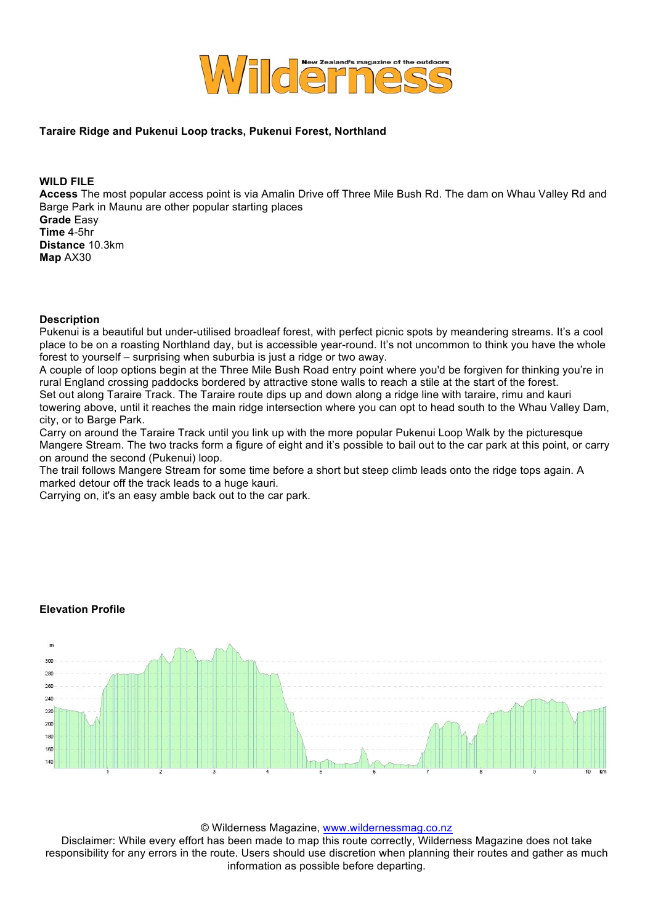

## **Taraire Ridge and Pukenui Loop tracks, Pukenui Forest, Northland**

**WILD FILE**

**Access** The most popular access point is via Amalin Drive off Three Mile Bush Rd. The dam on Whau Valley Rd and Barge Park in Maunu are other popular starting places **Grade** Easy **Time** 4-5hr

**Distance** 10.3km **Map** AX30

## **Description**

Pukenui is a beautiful but under-utilised broadleaf forest, with perfect picnic spots by meandering streams. It's a cool place to be on a roasting Northland day, but is accessible year-round. It's not uncommon to think you have the whole forest to yourself – surprising when suburbia is just a ridge or two away.

A couple of loop options begin at the Three Mile Bush Road entry point where you'd be forgiven for thinking you're in rural England crossing paddocks bordered by attractive stone walls to reach a stile at the start of the forest. Set out along Taraire Track. The Taraire route dips up and down along a ridge line with taraire, rimu and kauri towering above, until it reaches the main ridge intersection where you can opt to head south to the Whau Valley Dam, city, or to Barge Park.

Carry on around the Taraire Track until you link up with the more popular Pukenui Loop Walk by the picturesque Mangere Stream. The two tracks form a figure of eight and it's possible to bail out to the car park at this point, or carry on around the second (Pukenui) loop.

The trail follows Mangere Stream for some time before a short but steep climb leads onto the ridge tops again. A marked detour off the track leads to a huge kauri.

Carrying on, it's an easy amble back out to the car park.





© Wilderness Magazine, www.wildernessmag.co.nz

Disclaimer: While every effort has been made to map this route correctly, Wilderness Magazine does not take responsibility for any errors in the route. Users should use discretion when planning their routes and gather as much information as possible before departing.